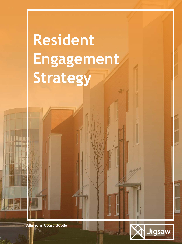**Resident Engagement Strategy**

**Allinsons Court, Bootle**

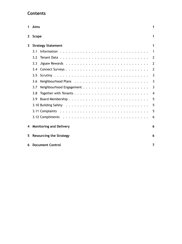# **Contents**

| 1 | Aims                                | 1              |  |
|---|-------------------------------------|----------------|--|
| 2 | Scope                               | 1              |  |
| 3 | <b>Strategy Statement</b>           | 1              |  |
|   | 3.1                                 | 1              |  |
|   | 3.2                                 | $\overline{2}$ |  |
|   | 3.3                                 | 2              |  |
|   | 3.4                                 | 2              |  |
|   | 3.5                                 | 3              |  |
|   | 3.6                                 | 3              |  |
|   | 3.7                                 | 3              |  |
|   | 3.8                                 | 4              |  |
|   | 3.9                                 | 5              |  |
|   |                                     | 5              |  |
|   |                                     | 5              |  |
|   |                                     | 6              |  |
| 4 | <b>Monitoring and Delivery</b>      | 6              |  |
| 5 | <b>Resourcing the Strategy</b><br>6 |                |  |
| 6 | <b>Document Control</b>             | 7              |  |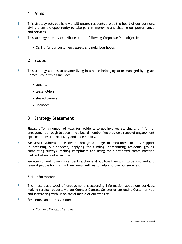## <span id="page-2-0"></span>**1 Aims**

- 1. This strategy sets out how we will ensure residents are at the heart of our business, giving them the opportunity to take part in improving and shaping our performance and services.
- 2. This strategy directly contributes to the following Corporate Plan objective:-
	- Caring for our customers, assets and neighbourhoods

## <span id="page-2-1"></span>**2 Scope**

- 3. This strategy applies to anyone living in a home belonging to or managed by Jigsaw Homes Group which includes:‐
	- tenants
	- leaseholders
	- shared owners
	- licensees

## <span id="page-2-2"></span>**3 Strategy Statement**

- 4. Jigsaw offer a number of ways for residents to get involved starting with informal engagement through to becoming a board member. We provide a range of engagement options to ensure inclusivity and accessibility.
- 5. We assist vulnerable residents through a range of measures such as support in accessing our services, applying for funding, constituting residents groups, completing surveys, making complaints and using their preferred communication method when contacting them.
- 6. We also commit to giving residents a choice about how they wish to be involved and reward people for sharing their views with us to help improve our services.

### <span id="page-2-3"></span>**3.1. Information**

- 7. The most basic level of engagement is accessing information about our services, making service requests via our Connect Contact Centres or our online Customer Hub and interacting with us on social media or our website.
- 8. Residents can do this via our:‐
	- Connect Contact Centres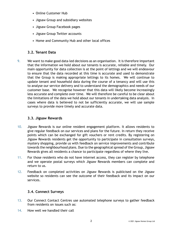- Online Customer Hub
- Jigsaw Group and subsidiary websites
- Jigsaw Group Facebook pages
- Jigsaw Group Twitter accounts
- Home and Community Hub and other local offices

### <span id="page-3-0"></span>**3.2. Tenant Data**

9. We want to make good data-led decisions as an organisation. It is therefore important that the information we hold about our tenants is accurate, reliable and timely. Our main opportunity for data collection is at the point of lettings and we will endeavour to ensure that the data recorded at this time is accurate and used to demonstrate that the Group is making appropriate lettings to its homes. We will continue to update tenant and household data during the course of a tenancy and will use this to analyse our service delivery and to understand the demographics and needs of our customer base. We recognise however that this data will likely become increasingly less accurate and complete over time. We will therefore be careful to be clear about the limitations of the data we hold about our tenants in undertaking data analysis. In cases where data is believed to not be sufficiently accurate, we will use sample surveys to provide more timely and accurate data.

#### <span id="page-3-1"></span>**3.3. Jigsaw Rewards**

- 10. Jigsaw Rewards is our online resident engagement platform. It allows residents to give regular feedback on our services and plans for the future. In return they receive points which can be exchanged for gift vouchers or rent credits. By registering on Jigsaw Rewards residents get the opportunity to participate in consultation surveys, mystery shopping, provide us with feedback on service improvements and contribute towards the neighbourhood plans. Due to the geographical spread of the Group, Jigsaw Rewards gives all residents a chance to participate regardless of where they live.
- 11. For those residents who do not have internet access, they can register by telephone and we operate postal surveys which Jigsaw Rewards members can complete and return to us.
- 12. Feedback on completed activities on Jigsaw Rewards is publicised on the Jigsaw website so residents can see the outcome of their feedback and its impact on our services.

### <span id="page-3-2"></span>**3.4. Connect Surveys**

- 13. Our Connect Contact Centres use automated telephone surveys to gather feedback from residents on issues such as:
- 14. How well we handled their call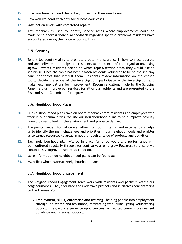- 15. How new tenants found the letting process for their new home
- 16. How well we dealt with anti‐social behaviour cases
- 17. Satisfaction levels with completed repairs
- 18. This feedback is used to identify service areas where improvements could be made or to address individual feedback regarding specific problems residents have encountered during their interactions with us.

#### <span id="page-4-0"></span>**3.5. Scrutiny**

19. Tenant led scrutiny aims to promote greater transparency in how services operate and are delivered and helps put residents at the centre of the organisation. Using Jigsaw Rewards residents decide on which topics/service areas they would like to scrutinise. Once the topic has been chosen residents volunteer to be on the scrutiny panel for topics that interest them. Residents review information on the chosen topic, decide the scope of the investigation, participate in the investigation and make recommendations for improvement. Recommendations made by the Scrutiny Panel help us improve our services for all of our residents and are presented to the Risk and Audit Committee for approval.

#### <span id="page-4-1"></span>**3.6. Neighbourhood Plans**

- 20. Our neighbourhood plans take on board feedback from residents and employees who work in our communities. We use our neighbourhood plans to help improve poverty, unemployment, health, the environment and property demand.
- 21. The performance information we gather from both internal and external data helps us to identify the main challenges and priorities in our neighbourhoods and enables us to target resources to areas in need through a range of projects and activities.
- 22. Each neighbourhood plan will be in place for three years and performance will be monitored regularly through resident surveys on Jigsaw Rewards, to ensure we continuously improve resident satisfaction.
- 23. More information on neighbourhood plans can be found at:‐
- 24. www.jigsawhomes.org.uk/neighbourhood‐plans

#### <span id="page-4-2"></span>**3.7. Neighbourhood Engagement**

- 25. The Neighbourhood Engagement Team work with residents and partners within our neighbourhoods. They facilitate and undertake projects and initiatives concentrating on the themes of:‐
	- **Employment, skills, enterprise and training** ‐ helping people into employment through job search and assistance, facilitating work clubs, giving volunteering opportunities, work experience opportunities, accredited training business set up advice and financial support.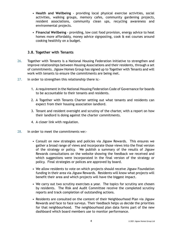- **Health and Wellbeing** ‐ providing local physical exercise activities, social activities, walking groups, memory cafes, community gardening projects, resident associations, community clean ups, recycling awareness and environmental projects.
- **Financial Wellbeing** ‐ providing, low cost food provision, energy advice to heat homes more affordably, money advice signposting, cook & eat courses around cooking healthily on a budget.

#### <span id="page-5-0"></span>**3.8. Together with Tenants**

- 26. Together with Tenants is a National Housing Federation Initiative to strengthen and improve relationships between Housing Associations and their residents, through a set of commitments. Jigsaw Homes Group has signed up to Together with Tenants and will work with tenants to ensure the commitments are being met.
- 27. In order to strengthen this relationship there is:‐
	- 1. A requirement in the National Housing Federation Code of Governance for boards to be accountable to their tenants and residents.
	- 2. A Together with Tenants Charter setting out what tenants and residents can expect from their housing association landlord.
	- 3. Tenant and resident oversight and scrutiny of the charter, with a report on how their landlord is doing against the charter commitments.
	- 4. A closer link with regulation.
- 28. In order to meet the commitments we:-
	- Consult on new strategies and policies via Jigsaw Rewards. This ensures we gather a broad range of views and incorporate those views into the final version of the strategy or policy. We publish a summary of the results of Jigsaw Rewards consultations on the website showing the feedback we received and which suggestions were incorporated in the final version of the strategy or policy. Final strategies or polices are approved by board.
	- We allow residents to vote on which projects should receive Jigsaw Foundation funding in their area via Jigsaw Rewards. Residents will know what projects will benefit their area and which projects will have the biggest impact.
	- We carry out two scrutiny exercises a year. The topics for scrutiny are chosen by residents. The Risk and Audit Committee receive the completed scrutiny reports and track completion of outstanding actions.
	- Residents are consulted on the content of their Neighbourhood Plan via Jigsaw Rewards and face to face surveys. Their feedback helps us decide the priorities for that neighbourhood. The neighbourhood plan data forms part of the new dashboard which board members use to monitor performance.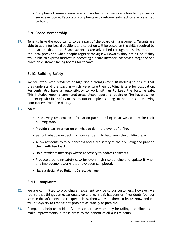• Complaints themes are analysed and we learn from service failure to improve our service in future. Reports on complaints and customer satisfaction are presented to board.

### <span id="page-6-0"></span>**3.9. Board Membership**

29. Tenants have the opportunity to be a part of the board of management. Tenants are able to apply for board positions and selection will be based on the skills required by the board at that time. Board vacancies are advertised through our website and in the local press and when people register for Jigsaw Rewards they are asked if they would like to express interest in becoming a board member. We have a target of one place on customer facing boards for tenants.

### <span id="page-6-1"></span>**3.10. Building Safety**

- 30. We will work with residents of high rise buildings (over 18 metres) to ensure that they understand the ways in which we ensure their building is safe for occupation. Residents also have a responsibility to work with us to keep the building safe. This includes keeping communal areas clear, reporting repairs or fire hazards, not tampering with fire safety measures (for example disabling smoke alarms or removing door closers from fire doors).
- 31. We will:
	- Issue every resident an information pack detailing what we do to make their building safe.
	- Provide clear information on what to do in the event of a fire.
	- Set out what we expect from our residents to help keep the building safe.
	- Allow residents to raise concerns about the safety of their building and provide them with feedback.
	- Hold residents meetings where necessary to address concerns.
	- Produce a building safety case for every high rise building and update it when any improvement works that have been completed.
	- Have a designated Building Safety Manager.

### <span id="page-6-2"></span>**3.11. Complaints**

- 32. We are committed to providing an excellent service to our customers. However, we realise that things can occasionally go wrong. If this happens or if residents feel our service doesn't meet their expectations, then we want them to let us know and we will always try to resolve any problem as quickly as possible.
- 33. Complaints help us to identify areas where services may be failing and allow us to make improvements in those areas to the benefit of all our residents.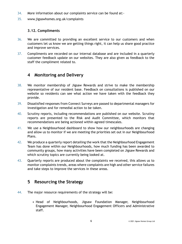- 34. More information about our complaints service can be found at:‐
- 35. www.jigsawhomes.org.uk/complaints

### <span id="page-7-0"></span>**3.12. Compliments**

- 36. We are committed to providing an excellent service to our customers and when customers let us know we are getting things right, it can help us share good practice and improve services.
- 37. Compliments are recorded on our internal database and are included in a quarterly customer feedback update on our websites. They are also given as feedback to the staff the compliment related to.

## <span id="page-7-1"></span>**4 Monitoring and Delivery**

- 38. We monitor membership of Jigsaw Rewards and strive to make the membership representative of our resident base. Feedback on consultations is published on our website so residents can see what action we have taken with the feedback they provide.
- 39. Dissatisfied responses from Connect Surveys are passed to departmental managers for investigation and for remedial action to be taken.
- 40. Scrutiny reports, including recommendations are published on our website. Scrutiny reports are presented to the Risk and Audit Committee, which monitors that recommendations are being actioned within agreed timescales.
- 41. We use a Neighbourhood dashboard to show how our neighbourhoods are changing and allow us to monitor if we are meeting the priorities set out in our Neighbourhood Plans.
- 42. We produce a quarterly report detailing the work that the Neighbourhood Engagement Team has done within our Neighbourhoods, how much funding has been awarded to community groups, how many activities have been completed on Jigsaw Rewards and which scrutiny topics are currently being looked at.
- 43. Quarterly reports are produced about the complaints we received, this allows us to monitor complaints trends, areas where complaints are high and other service failures and take steps to improve the services in these areas.

## <span id="page-7-2"></span>**5 Resourcing the Strategy**

- 44. The major resource requirements of the strategy will be:
	- Head of Neighbourhoods, Jigsaw Foundation Manager, Neighbourhood Engagement Manager, Neighbourhood Engagement Officers and Administrative staff.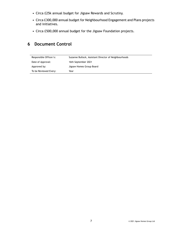- Circa £25k annual budget for Jigsaw Rewards and Scrutiny.
- Circa £300,000 annual budget for Neighbourhood Engagement and Plans projects and initiatives.
- Circa £500,000 annual budget for the Jigsaw Foundation projects.

## <span id="page-8-0"></span>**6 Document Control**

| Responsible Officer/s: | Suzanne Bullock, Assistant Director of Neighbourhoods |
|------------------------|-------------------------------------------------------|
| Date of Approval:      | 16th September 2021                                   |
| Approved by:           | Jigsaw Homes Group Board                              |
| To be Reviewed Every:  | Year                                                  |